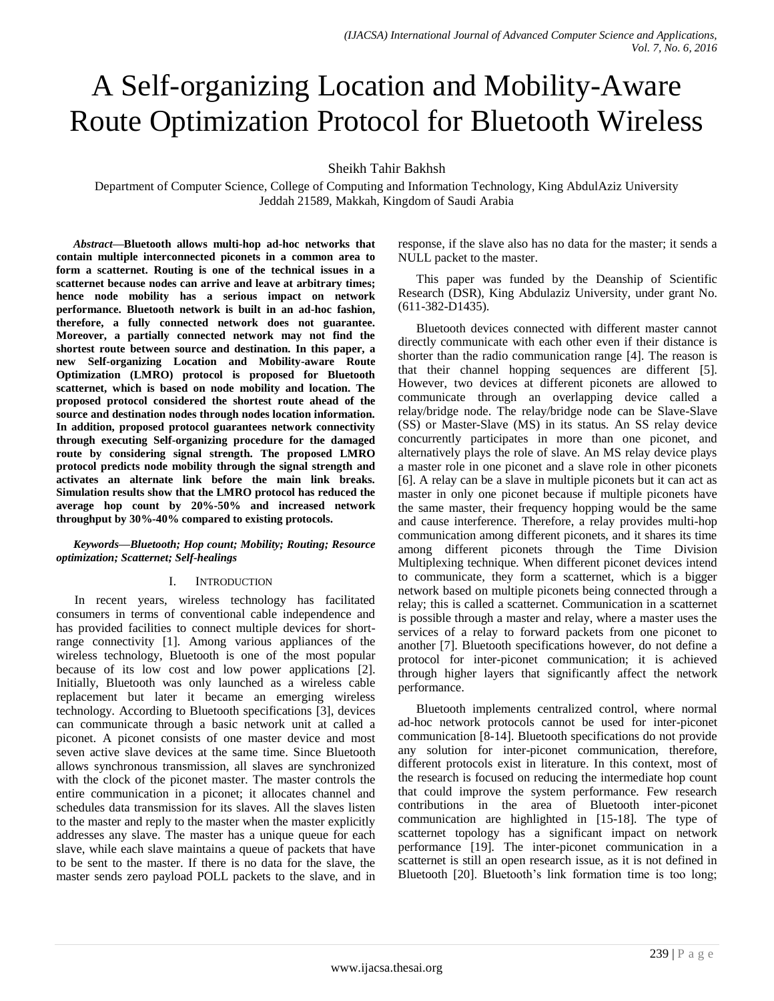# A Self-organizing Location and Mobility-Aware Route Optimization Protocol for Bluetooth Wireless

Sheikh Tahir Bakhsh

Department of Computer Science, College of Computing and Information Technology, King AbdulAziz University Jeddah 21589, Makkah, Kingdom of Saudi Arabia

*Abstract***—Bluetooth allows multi-hop ad-hoc networks that contain multiple interconnected piconets in a common area to form a scatternet. Routing is one of the technical issues in a scatternet because nodes can arrive and leave at arbitrary times; hence node mobility has a serious impact on network performance. Bluetooth network is built in an ad-hoc fashion, therefore, a fully connected network does not guarantee. Moreover, a partially connected network may not find the shortest route between source and destination. In this paper, a new Self-organizing Location and Mobility-aware Route Optimization (LMRO) protocol is proposed for Bluetooth scatternet, which is based on node mobility and location. The proposed protocol considered the shortest route ahead of the source and destination nodes through nodes location information. In addition, proposed protocol guarantees network connectivity through executing Self-organizing procedure for the damaged route by considering signal strength. The proposed LMRO protocol predicts node mobility through the signal strength and activates an alternate link before the main link breaks. Simulation results show that the LMRO protocol has reduced the average hop count by 20%-50% and increased network throughput by 30%-40% compared to existing protocols.**

*Keywords—Bluetooth; Hop count; Mobility; Routing; Resource optimization; Scatternet; Self-healings*

## I. INTRODUCTION

In recent years, wireless technology has facilitated consumers in terms of conventional cable independence and has provided facilities to connect multiple devices for shortrange connectivity [1]. Among various appliances of the wireless technology, Bluetooth is one of the most popular because of its low cost and low power applications [2]. Initially, Bluetooth was only launched as a wireless cable replacement but later it became an emerging wireless technology. According to Bluetooth specifications [3], devices can communicate through a basic network unit at called a piconet. A piconet consists of one master device and most seven active slave devices at the same time. Since Bluetooth allows synchronous transmission, all slaves are synchronized with the clock of the piconet master. The master controls the entire communication in a piconet; it allocates channel and schedules data transmission for its slaves. All the slaves listen to the master and reply to the master when the master explicitly addresses any slave. The master has a unique queue for each slave, while each slave maintains a queue of packets that have to be sent to the master. If there is no data for the slave, the master sends zero payload POLL packets to the slave, and in

response, if the slave also has no data for the master; it sends a NULL packet to the master.

This paper was funded by the Deanship of Scientific Research (DSR), King Abdulaziz University, under grant No. (611-382-D1435).

Bluetooth devices connected with different master cannot directly communicate with each other even if their distance is shorter than the radio communication range [4]. The reason is that their channel hopping sequences are different [5]. However, two devices at different piconets are allowed to communicate through an overlapping device called a relay/bridge node. The relay/bridge node can be Slave-Slave (SS) or Master-Slave (MS) in its status. An SS relay device concurrently participates in more than one piconet, and alternatively plays the role of slave. An MS relay device plays a master role in one piconet and a slave role in other piconets [6]. A relay can be a slave in multiple piconets but it can act as master in only one piconet because if multiple piconets have the same master, their frequency hopping would be the same and cause interference. Therefore, a relay provides multi-hop communication among different piconets, and it shares its time among different piconets through the Time Division Multiplexing technique. When different piconet devices intend to communicate, they form a scatternet, which is a bigger network based on multiple piconets being connected through a relay; this is called a scatternet. Communication in a scatternet is possible through a master and relay, where a master uses the services of a relay to forward packets from one piconet to another [7]. Bluetooth specifications however, do not define a protocol for inter-piconet communication; it is achieved through higher layers that significantly affect the network performance.

Bluetooth implements centralized control, where normal ad-hoc network protocols cannot be used for inter-piconet communication [8-14]. Bluetooth specifications do not provide any solution for inter-piconet communication, therefore, different protocols exist in literature. In this context, most of the research is focused on reducing the intermediate hop count that could improve the system performance. Few research contributions in the area of Bluetooth inter-piconet communication are highlighted in [15-18]. The type of scatternet topology has a significant impact on network performance [19]. The inter-piconet communication in a scatternet is still an open research issue, as it is not defined in Bluetooth [20]. Bluetooth's link formation time is too long;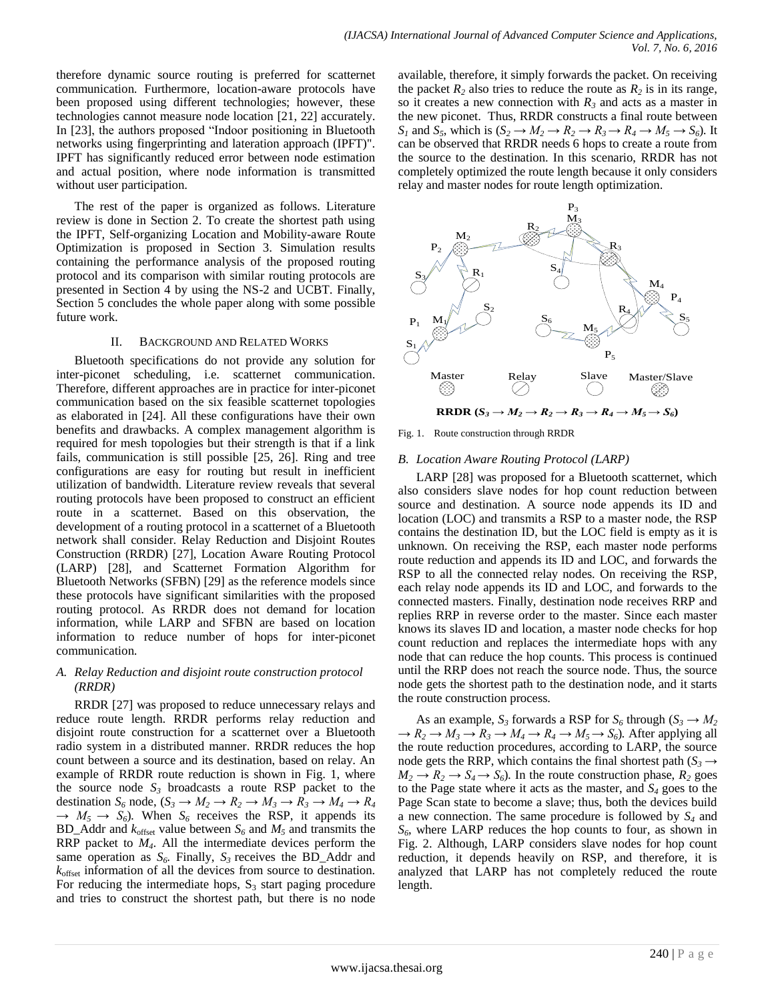therefore dynamic source routing is preferred for scatternet communication. Furthermore, location-aware protocols have been proposed using different technologies; however, these technologies cannot measure node location [21, 22] accurately. In [23], the authors proposed "Indoor positioning in Bluetooth networks using fingerprinting and lateration approach (IPFT)". IPFT has significantly reduced error between node estimation and actual position, where node information is transmitted without user participation.

The rest of the paper is organized as follows. Literature review is done in Section 2. To create the shortest path using the IPFT, Self-organizing Location and Mobility-aware Route Optimization is proposed in Section 3. Simulation results containing the performance analysis of the proposed routing protocol and its comparison with similar routing protocols are presented in Section 4 by using the NS-2 and UCBT. Finally, Section 5 concludes the whole paper along with some possible future work.

#### II. BACKGROUND AND RELATED WORKS

Bluetooth specifications do not provide any solution for inter-piconet scheduling, i.e. scatternet communication. Therefore, different approaches are in practice for inter-piconet communication based on the six feasible scatternet topologies as elaborated in [24]. All these configurations have their own benefits and drawbacks. A complex management algorithm is required for mesh topologies but their strength is that if a link fails, communication is still possible [25, 26]. Ring and tree configurations are easy for routing but result in inefficient utilization of bandwidth. Literature review reveals that several routing protocols have been proposed to construct an efficient route in a scatternet. Based on this observation, the development of a routing protocol in a scatternet of a Bluetooth network shall consider. Relay Reduction and Disjoint Routes Construction (RRDR) [27], Location Aware Routing Protocol (LARP) [28], and Scatternet Formation Algorithm for Bluetooth Networks (SFBN) [29] as the reference models since these protocols have significant similarities with the proposed routing protocol. As RRDR does not demand for location information, while LARP and SFBN are based on location information to reduce number of hops for inter-piconet communication.

# *A. Relay Reduction and disjoint route construction protocol (RRDR)*

RRDR [27] was proposed to reduce unnecessary relays and reduce route length. RRDR performs relay reduction and disjoint route construction for a scatternet over a Bluetooth radio system in a distributed manner. RRDR reduces the hop count between a source and its destination, based on relay. An example of RRDR route reduction is shown in Fig. 1, where the source node  $S_3$  broadcasts a route RSP packet to the destination  $S_6$  node,  $(S_3 \rightarrow M_2 \rightarrow R_2 \rightarrow M_3 \rightarrow R_3 \rightarrow M_4 \rightarrow R_4$  $\rightarrow$   $M_5 \rightarrow S_6$ ). When  $S_6$  receives the RSP, it appends its BD\_Addr and  $k_{\text{offset}}$  value between  $S_6$  and  $M_5$  and transmits the RRP packet to *M4*. All the intermediate devices perform the same operation as  $S_6$ . Finally,  $S_3$  receives the BD\_Addr and  $k_{\text{offset}}$  information of all the devices from source to destination. For reducing the intermediate hops,  $S_3$  start paging procedure and tries to construct the shortest path, but there is no node available, therefore, it simply forwards the packet. On receiving the packet  $R_2$  also tries to reduce the route as  $R_2$  is in its range, so it creates a new connection with  $R_3$  and acts as a master in the new piconet. Thus, RRDR constructs a final route between *S*<sub>1</sub> and *S*<sub>5</sub>, which is  $(S_2 \rightarrow M_2 \rightarrow R_2 \rightarrow R_3 \rightarrow R_4 \rightarrow M_5 \rightarrow S_6)$ . It can be observed that RRDR needs 6 hops to create a route from the source to the destination. In this scenario, RRDR has not completely optimized the route length because it only considers relay and master nodes for route length optimization.



Fig. 1. Route construction through RRDR

## *B. Location Aware Routing Protocol (LARP)*

LARP [28] was proposed for a Bluetooth scatternet, which also considers slave nodes for hop count reduction between source and destination. A source node appends its ID and location (LOC) and transmits a RSP to a master node, the RSP contains the destination ID, but the LOC field is empty as it is unknown. On receiving the RSP, each master node performs route reduction and appends its ID and LOC, and forwards the RSP to all the connected relay nodes. On receiving the RSP, each relay node appends its ID and LOC, and forwards to the connected masters. Finally, destination node receives RRP and replies RRP in reverse order to the master. Since each master knows its slaves ID and location, a master node checks for hop count reduction and replaces the intermediate hops with any node that can reduce the hop counts. This process is continued until the RRP does not reach the source node. Thus, the source node gets the shortest path to the destination node, and it starts the route construction process.

As an example,  $S_3$  forwards a RSP for  $S_6$  through ( $S_3 \rightarrow M_2$ )  $\rightarrow R_2 \rightarrow M_3 \rightarrow R_3 \rightarrow M_4 \rightarrow R_4 \rightarrow M_5 \rightarrow S_6$ . After applying all the route reduction procedures, according to LARP, the source node gets the RRP, which contains the final shortest path ( $S_3 \rightarrow$  $M_2 \rightarrow R_2 \rightarrow S_4 \rightarrow S_6$ ). In the route construction phase,  $R_2$  goes to the Page state where it acts as the master, and *S<sup>4</sup>* goes to the Page Scan state to become a slave; thus, both the devices build a new connection. The same procedure is followed by *S<sup>4</sup>* and  $S_6$ , where LARP reduces the hop counts to four, as shown in Fig. 2. Although, LARP considers slave nodes for hop count reduction, it depends heavily on RSP, and therefore, it is analyzed that LARP has not completely reduced the route length.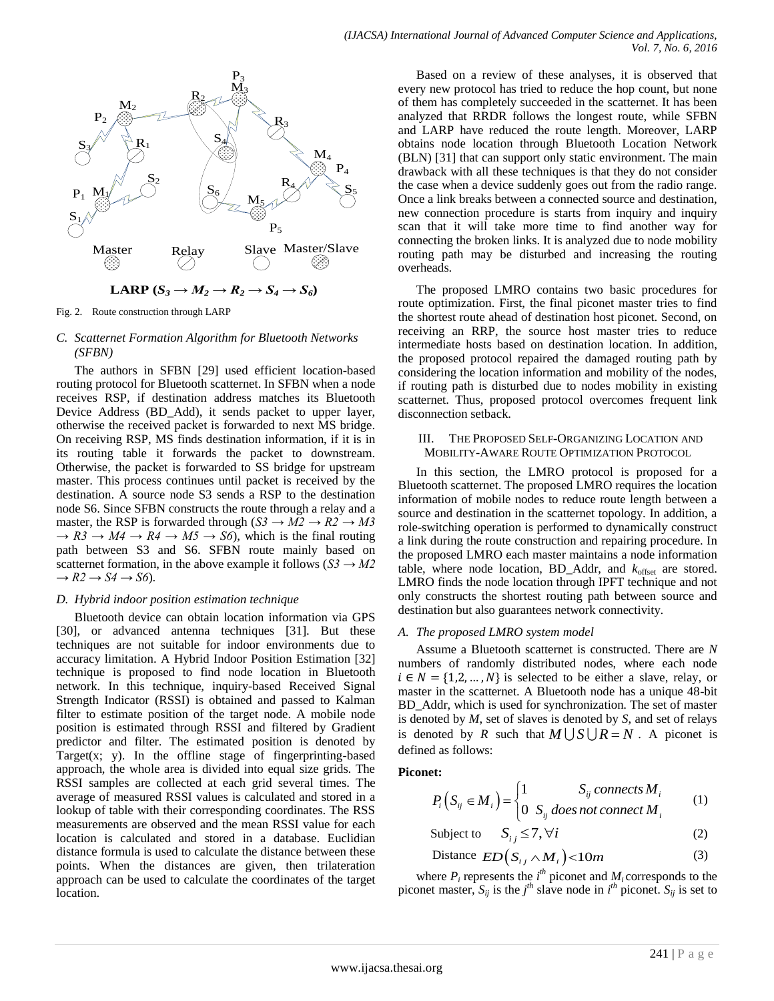



Fig. 2. Route construction through LARP

## *C. Scatternet Formation Algorithm for Bluetooth Networks (SFBN)*

The authors in SFBN [29] used efficient location-based routing protocol for Bluetooth scatternet. In SFBN when a node receives RSP, if destination address matches its Bluetooth Device Address (BD\_Add), it sends packet to upper layer, otherwise the received packet is forwarded to next MS bridge. On receiving RSP, MS finds destination information, if it is in its routing table it forwards the packet to downstream. Otherwise, the packet is forwarded to SS bridge for upstream master. This process continues until packet is received by the destination. A source node S3 sends a RSP to the destination node S6. Since SFBN constructs the route through a relay and a master, the RSP is forwarded through  $(S3 \rightarrow M2 \rightarrow R2 \rightarrow M3$  $\rightarrow$  R3  $\rightarrow$  *M4*  $\rightarrow$  R4  $\rightarrow$  *M5*  $\rightarrow$  *S6*), which is the final routing path between S3 and S6. SFBN route mainly based on scatternet formation, in the above example it follows ( $S3 \rightarrow M2$  $\rightarrow R2 \rightarrow S4 \rightarrow S6$ ).

## *D. Hybrid indoor position estimation technique*

Bluetooth device can obtain location information via GPS [30], or advanced antenna techniques [31]. But these techniques are not suitable for indoor environments due to accuracy limitation. A Hybrid Indoor Position Estimation [32] technique is proposed to find node location in Bluetooth network. In this technique, inquiry-based Received Signal Strength Indicator (RSSI) is obtained and passed to Kalman filter to estimate position of the target node. A mobile node position is estimated through RSSI and filtered by Gradient predictor and filter. The estimated position is denoted by Target $(x; y)$ . In the offline stage of fingerprinting-based approach, the whole area is divided into equal size grids. The RSSI samples are collected at each grid several times. The average of measured RSSI values is calculated and stored in a lookup of table with their corresponding coordinates. The RSS measurements are observed and the mean RSSI value for each location is calculated and stored in a database. Euclidian distance formula is used to calculate the distance between these points. When the distances are given, then trilateration approach can be used to calculate the coordinates of the target location.

Based on a review of these analyses, it is observed that every new protocol has tried to reduce the hop count, but none of them has completely succeeded in the scatternet. It has been analyzed that RRDR follows the longest route, while SFBN and LARP have reduced the route length. Moreover, LARP obtains node location through Bluetooth Location Network (BLN) [31] that can support only static environment. The main drawback with all these techniques is that they do not consider the case when a device suddenly goes out from the radio range. Once a link breaks between a connected source and destination, new connection procedure is starts from inquiry and inquiry scan that it will take more time to find another way for connecting the broken links. It is analyzed due to node mobility routing path may be disturbed and increasing the routing overheads.

The proposed LMRO contains two basic procedures for route optimization. First, the final piconet master tries to find the shortest route ahead of destination host piconet. Second, on receiving an RRP, the source host master tries to reduce intermediate hosts based on destination location. In addition, the proposed protocol repaired the damaged routing path by considering the location information and mobility of the nodes, if routing path is disturbed due to nodes mobility in existing scatternet. Thus, proposed protocol overcomes frequent link disconnection setback.

### III. THE PROPOSED SELF-ORGANIZING LOCATION AND MOBILITY-AWARE ROUTE OPTIMIZATION PROTOCOL

In this section, the LMRO protocol is proposed for a Bluetooth scatternet. The proposed LMRO requires the location information of mobile nodes to reduce route length between a source and destination in the scatternet topology. In addition, a role-switching operation is performed to dynamically construct a link during the route construction and repairing procedure. In the proposed LMRO each master maintains a node information table, where node location, BD\_Addr, and  $k_{offset}$  are stored. LMRO finds the node location through IPFT technique and not only constructs the shortest routing path between source and destination but also guarantees network connectivity.

# *A. The proposed LMRO system model*

Assume a Bluetooth scatternet is constructed. There are *N* numbers of randomly distributed nodes, where each node  $i \in N = \{1, 2, ..., N\}$  is selected to be either a slave, relay, or master in the scatternet. A Bluetooth node has a unique 48-bit BD\_Addr, which is used for synchronization. The set of master is denoted by *M*, set of slaves is denoted by *S*, and set of relays is denoted by *R* such that  $M \cup S \cup R = N$ . A piconet is defined as follows:

# **Piconet:**

et:  
\n
$$
P_i(S_{ij} \in M_i) = \begin{cases} 1 & S_{ij} \text{ connects } M_i \\ 0 & S_{ij} \text{ does not connect } M_i \end{cases}
$$
\n(1)

$$
Subject to \tS_{ij} \le 7, \forall i \t(2)
$$

Distance 
$$
ED(S_{ij} \wedge M_i)
$$
 < 10m (3)

where  $P_i$  represents the  $i^{th}$  piconet and  $M_i$  corresponds to the piconet master,  $S_{ij}$  is the  $j<sup>th</sup>$  slave node in  $i<sup>th</sup>$  piconet.  $S_{ij}$  is set to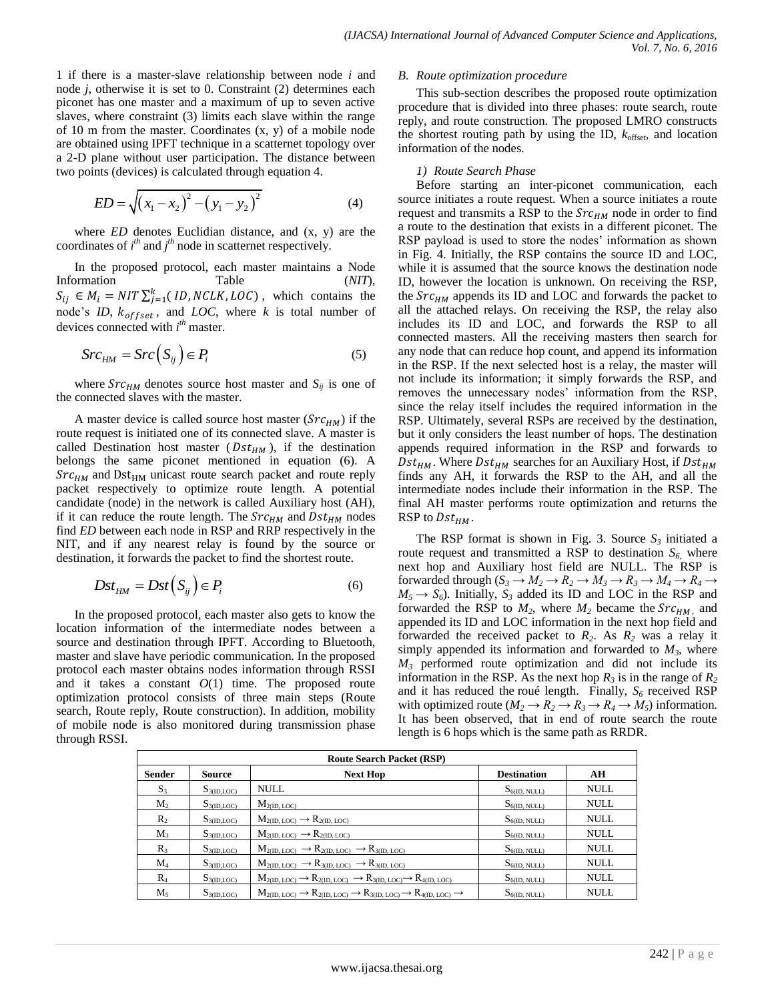1 if there is a master-slave relationship between node *i* and node *j*, otherwise it is set to 0. Constraint (2) determines each piconet has one master and a maximum of up to seven active slaves, where constraint (3) limits each slave within the range of 10 m from the master. Coordinates (x, y) of a mobile node are obtained using IPFT technique in a scatternet topology over a 2-D plane without user participation. The distance between two points (devices) is calculated through equation 4.

$$
ED = \sqrt{(x_1 - x_2)^2 - (y_1 - y_2)^2}
$$
 (4)

where *ED* denotes Euclidian distance, and (x, y) are the coordinates of  $i^{th}$  and  $j^{th}$  node in scatternet respectively.

In the proposed protocol, each master maintains a Node Information Table (*NIT*),  $S_{ij} \in M_i = NIT \sum_{j=1}^{k} (ID, NCLK, LOC)$ , which contains the node's *ID*,  $k_{offset}$ , and *LOC*, where *k* is total number of devices connected with *i th* master.

$$
Src_{HM} = Src(S_{ij}) \in P_i
$$
 (5)

where  $SrC<sub>HM</sub>$  denotes source host master and  $S<sub>ij</sub>$  is one of the connected slaves with the master.

A master device is called source host master  $(Src<sub>HM</sub>)$  if the route request is initiated one of its connected slave. A master is called Destination host master ( $Dst_{HM}$ ), if the destination belongs the same piconet mentioned in equation (6). A  $SrC<sub>HM</sub>$  and Dst<sub>HM</sub> unicast route search packet and route reply packet respectively to optimize route length. A potential candidate (node) in the network is called Auxiliary host (AH), if it can reduce the route length. The  $SrC<sub>HM</sub>$  and  $Dst<sub>HM</sub>$  nodes find *ED* between each node in RSP and RRP respectively in the NIT, and if any nearest relay is found by the source or destination, it forwards the packet to find the shortest route.

$$
Dst_{HM} = Dst(S_{ij}) \in P_i
$$
 (6)

In the proposed protocol, each master also gets to know the location information of the intermediate nodes between a source and destination through IPFT. According to Bluetooth, master and slave have periodic communication. In the proposed protocol each master obtains nodes information through RSSI and it takes a constant  $O(1)$  time. The proposed route optimization protocol consists of three main steps (Route search, Route reply, Route construction). In addition, mobility of mobile node is also monitored during transmission phase through RSSI.

#### *B. Route optimization procedure*

This sub-section describes the proposed route optimization procedure that is divided into three phases: route search, route reply, and route construction. The proposed LMRO constructs the shortest routing path by using the ID,  $k_{offset}$ , and location information of the nodes.

#### *1) Route Search Phase*

Before starting an inter-piconet communication, each source initiates a route request. When a source initiates a route request and transmits a RSP to the  $SrC<sub>HM</sub>$  node in order to find a route to the destination that exists in a different piconet. The RSP payload is used to store the nodes' information as shown in Fig. 4. Initially, the RSP contains the source ID and LOC, while it is assumed that the source knows the destination node ID, however the location is unknown. On receiving the RSP, the  $Src<sub>HM</sub>$  appends its ID and LOC and forwards the packet to all the attached relays. On receiving the RSP, the relay also includes its ID and LOC, and forwards the RSP to all connected masters. All the receiving masters then search for any node that can reduce hop count, and append its information in the RSP. If the next selected host is a relay, the master will not include its information; it simply forwards the RSP, and removes the unnecessary nodes' information from the RSP, since the relay itself includes the required information in the RSP. Ultimately, several RSPs are received by the destination, but it only considers the least number of hops. The destination appends required information in the RSP and forwards to  $Dst_{HM}$ . Where  $Dst_{HM}$  searches for an Auxiliary Host, if  $Dst_{HM}$ finds any AH, it forwards the RSP to the AH, and all the intermediate nodes include their information in the RSP. The final AH master performs route optimization and returns the RSP to  $Dst_{HM}$ .

The RSP format is shown in Fig. 3. Source  $S_3$  initiated a route request and transmitted a RSP to destination  $S_6$ , where next hop and Auxiliary host field are NULL. The RSP is forwarded through  $(S_3 \to M_2 \to R_2 \to M_3 \to R_3 \to M_4 \to R_4 \to$  $M_5 \rightarrow S_6$ ). Initially,  $S_3$  added its ID and LOC in the RSP and forwarded the RSP to  $M_2$ , where  $M_2$  became the  $SrC_{HM}$ , and appended its ID and LOC information in the next hop field and forwarded the received packet to *R2*. As *R<sup>2</sup>* was a relay it simply appended its information and forwarded to  $M_3$ , where *M<sup>3</sup>* performed route optimization and did not include its information in the RSP. As the next hop  $R_3$  is in the range of  $R_2$ and it has reduced the roué length. Finally, *S<sup>6</sup>* received RSP with optimized route ( $M_2 \rightarrow R_2 \rightarrow R_3 \rightarrow R_4 \rightarrow M_5$ ) information. It has been observed, that in end of route search the route length is 6 hops which is the same path as RRDR.

| <b>Route Search Packet (RSP)</b> |                  |                                                                                                   |                    |             |
|----------------------------------|------------------|---------------------------------------------------------------------------------------------------|--------------------|-------------|
| <b>Sender</b>                    | Source           | <b>Next Hop</b>                                                                                   | <b>Destination</b> | AH          |
| $S_3$                            | $S_{3(ID, LOC)}$ | <b>NULL</b>                                                                                       | $S_{6(ID, NULL)}$  | <b>NULL</b> |
| M <sub>2</sub>                   | $S_{3(ID, LOC)}$ | $M_{2(ID, \; LOC)}$                                                                               | $S_{6(1D, NULL)}$  | <b>NULL</b> |
| $R_2$                            | $S_{3(ID, LOC)}$ | $M_{2(ID, LOC)} \rightarrow R_{2(ID, LOC)}$                                                       | $S_{6(ID, NULL)}$  | <b>NULL</b> |
| $M_3$                            | $S_{3(ID, LOC)}$ | $M_{2(ID, LOC)} \rightarrow R_{2(ID, LOC)}$                                                       | $S_{6(ID, NULL)}$  | <b>NULL</b> |
| R <sub>3</sub>                   | $S_{3(ID, LOC)}$ | $M_{2(ID, LOC)} \rightarrow R_{2(ID, LOC)} \rightarrow R_{3(ID, LOC)}$                            | $S_{6(ID, NULL)}$  | <b>NULL</b> |
| $\rm M_4$                        | $S_{3(ID, LOC)}$ | $M_{2(ID, LOC)} \rightarrow R_{3(ID, LOC)} \rightarrow R_{3(ID, LOC)}$                            | $S_{6(ID, NULL)}$  | <b>NULL</b> |
| $R_4$                            | $S_{3(ID, LOC)}$ | $M_{2(ID, LOC)} \rightarrow R_{2(ID, LOC)} \rightarrow R_{3(ID, LOC)} \rightarrow R_{4(ID, LOC)}$ | $S_{6(1D, NULL)}$  | <b>NULL</b> |
| $M_{5}$                          | $S_{3(ID, LOC)}$ | $M_{2(ID, LOC)} \rightarrow R_{2(ID, LOC)} \rightarrow R_{3(ID, LOC)} \rightarrow R_{4(ID, LOC)}$ | $S_{6(ID, NULL)}$  | <b>NULL</b> |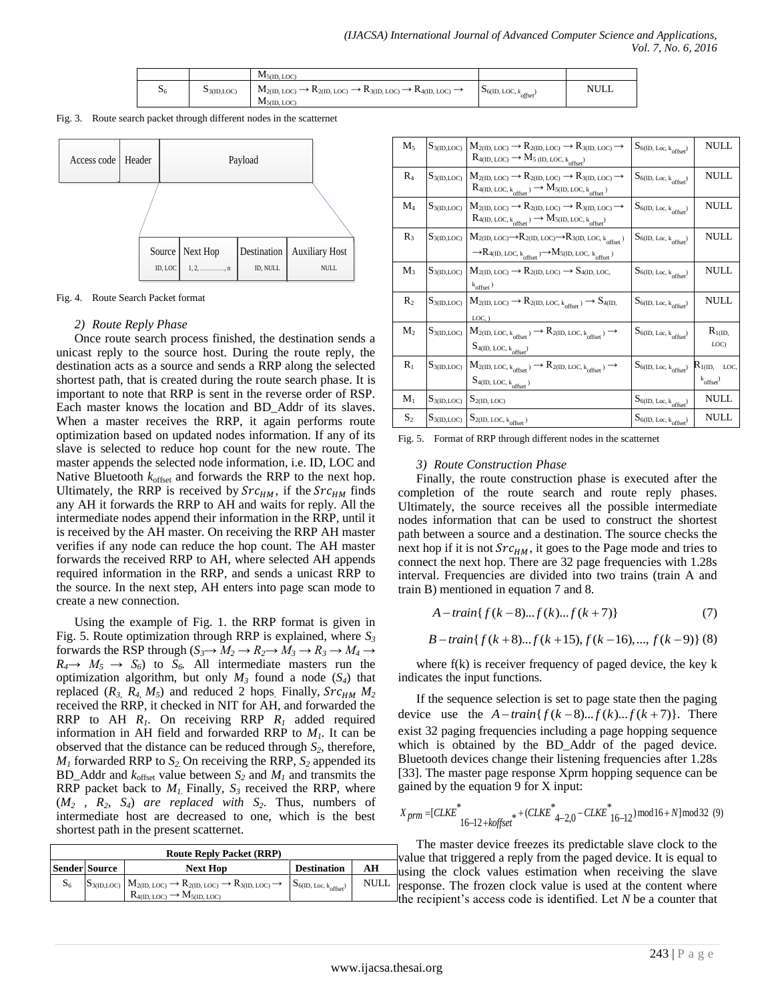|                  |                        | $M_{5(ID, LOC)}$                                                                                                                          |                                        |      |
|------------------|------------------------|-------------------------------------------------------------------------------------------------------------------------------------------|----------------------------------------|------|
| $\mathfrak{d}_6$ | $\mathbf{D}3(ID, LOC)$ | $M_{2(ID, \ LOC)} \rightarrow K_{2(ID, \ LOC)} \rightarrow K_{3(ID, \ LOC)} \rightarrow K_{4(ID, \ LOC)} \rightarrow$<br>$M_{5(ID, LOC)}$ | $\mathcal{S}_6$ (ID, LOC, $k_{offset}$ | NULL |

Fig. 3. Route search packet through different nodes in the scatternet



Fig. 4. Route Search Packet format

## *2) Route Reply Phase*

Once route search process finished, the destination sends a unicast reply to the source host. During the route reply, the destination acts as a source and sends a RRP along the selected shortest path, that is created during the route search phase. It is important to note that RRP is sent in the reverse order of RSP. Each master knows the location and BD\_Addr of its slaves. When a master receives the RRP, it again performs route optimization based on updated nodes information. If any of its slave is selected to reduce hop count for the new route. The master appends the selected node information, i.e. ID, LOC and Native Bluetooth  $k_{offset}$  and forwards the RRP to the next hop. Ultimately, the RRP is received by  $SrC<sub>HM</sub>$ , if the  $SrC<sub>HM</sub>$  finds any AH it forwards the RRP to AH and waits for reply. All the intermediate nodes append their information in the RRP, until it is received by the AH master. On receiving the RRP AH master verifies if any node can reduce the hop count. The AH master forwards the received RRP to AH, where selected AH appends required information in the RRP, and sends a unicast RRP to the source. In the next step, AH enters into page scan mode to create a new connection.

Using the example of Fig. 1. the RRP format is given in Fig. 5. Route optimization through RRP is explained, where *S<sup>3</sup>* forwards the RSP through  $(S_3 \rightarrow M_2 \rightarrow R_2 \rightarrow M_3 \rightarrow R_3 \rightarrow M_4 \rightarrow$  $R_4 \rightarrow M_5 \rightarrow S_6$  to  $S_6$ . All intermediate masters run the optimization algorithm, but only  $M_3$  found a node  $(S_4)$  that replaced  $(R_3, R_4, M_5)$  and reduced 2 hops. Finally,  $Src_{HM}$   $M_2$ received the RRP, it checked in NIT for AH, and forwarded the RRP to AH  $R_1$ . On receiving RRP  $R_1$  added required information in AH field and forwarded RRP to *M1*. It can be observed that the distance can be reduced through *S2*, therefore,  $M<sub>1</sub>$  forwarded RRP to  $S<sub>2</sub>$ . On receiving the RRP,  $S<sub>2</sub>$  appended its BD\_Addr and  $k_{offset}$  value between  $S_2$  and  $M_1$  and transmits the RRP packet back to  $M<sub>1</sub>$ . Finally,  $S<sub>3</sub>$  received the RRP, where  $(M_2, R_2, S_4)$  *are replaced with*  $S_2$ . Thus, numbers of intermediate host are decreased to one, which is the best shortest path in the present scatternet.

| <b>Route Reply Packet (RRP)</b> |                      |                                                                                                                                                                                                                                         |                    |             |  |
|---------------------------------|----------------------|-----------------------------------------------------------------------------------------------------------------------------------------------------------------------------------------------------------------------------------------|--------------------|-------------|--|
|                                 | <b>Sender Source</b> | <b>Next Hop</b>                                                                                                                                                                                                                         | <b>Destination</b> | AН          |  |
| $S_6$                           |                      | $S_{3\text{(ID,LOC)}} \n\begin{array}{c}\n\big  M_{2\text{(ID, LOC)}} \rightarrow R_{2\text{(ID, LOC)}} \rightarrow R_{3\text{(ID, LOC)}} \rightarrow R_{3\text{(ID, LOC)}} \rightarrow R_{6\text{(ID, Loc, k}_{offset})}\n\end{array}$ |                    | <b>NULL</b> |  |

| $\mathrm{M}_5$ | $S_{3(ID, LOC)}$ | $M_{2(ID,\;LOC)}\longrightarrow R_{2(ID,\;LOC)}\longrightarrow R_{3(ID,\;LOC)}\longrightarrow$<br>$R_{4(ID,\,LOC)}\longrightarrow M_{5\,(ID,\,LOC,\,k_{offset})}$                                                                                             | $S_{6(ID,\:Loc,\:k_{offset})}$ | NULL                                           |
|----------------|------------------|---------------------------------------------------------------------------------------------------------------------------------------------------------------------------------------------------------------------------------------------------------------|--------------------------------|------------------------------------------------|
| $\rm R_4$      | $S_{3(ID, LOC)}$ | $M_{2(ID,\ LOC)} \rightarrow R_{2(ID,\ LOC)} \rightarrow R_{3(ID,\ LOC)}$<br>$R_{\rm 4(ID,\,LOC,\,k_{offset}})\longrightarrow M_{\rm 5(ID,\,LOC,\,k_{offset})}$                                                                                               | $S_{6(ID,\:Loc,\:k_{offset})}$ | NULL                                           |
| $\mathbf{M}_4$ | $S_{3(ID, LOC)}$ | $M_{2(ID,\;LOC)}\longrightarrow R_{2(ID,\;LOC)}\longrightarrow R_{3(ID,\;LOC)}\longrightarrow$<br>$R_{4(ID,\,LOC,\,k_{offset}})\longrightarrow M_{5(ID,\,LOC,\,k_{offset})}$                                                                                  | $S_{6(ID,\:Loc,\:k_{offset})}$ | NULL                                           |
| $R_3$          | $S_{3(ID, LOC)}$ | $M_{2(ID,\ LOC)} {\longrightarrow} R_{2(ID,\ LOC)} {\longrightarrow} R_{3(ID,\ LOC,\ k_{offset})}$<br>$\rightarrow\hspace{-1.5mm}R_{4(\underline{ID},\, \underline{LOC},\, k_{offset})}\rightarrow M_{5(\underline{ID},\, \underline{LOC},\, \, k_{offset})}$ | $S_{6(ID,\ Loc,\ k}_{offset})$ | <b>NULL</b>                                    |
| $M_3$          | $S_{3(ID, LOC)}$ | $M_{2(ID,\; LOC)}\longrightarrow R_{2(ID,\;LOC)}\longrightarrow S_{4(ID,\;LOC,}$<br>$k_{\text{offset}}$ )                                                                                                                                                     | $S_{6(ID,\:Loc,\:k_{offset})}$ | NULL                                           |
| $R_{2}$        | $S_{3(ID, LOC)}$ | $M_{2(ID,\;LOC)}\longrightarrow R_{2(ID,\;LOC,\;k_{offset})}\longrightarrow S_{4(ID,\;}$<br>$LOC,$ )                                                                                                                                                          | $S_{6(ID,\:Loc,\:k_{offset})}$ | NULL                                           |
| $M_2$          | $S_{3(ID, LOC)}$ | $M_{2(ID,\;LOC,\;k_{offset})} \longrightarrow R_{2(ID,\;LOC,\;k_{offset})} \longrightarrow$<br>$S_{4(ID, LOC, k_{offset})}$                                                                                                                                   | $S_{6(ID,\ Loc,\ k}_{offset})$ | $R_{1(ID,}$<br>LOC)                            |
| $R_1$          | $S_{3(ID, LOC)}$ | $M_{2(ID,\;LOC,\,k_{offset})} \longrightarrow R_{2(ID,\;LOC,\,k_{offset})} \longrightarrow$<br>$S_{\rm 4(ID,\,LOC,\,k}\rm_{offset})$                                                                                                                          | $S_{6(ID,\;Loc,\;k_{offset})}$ | $R_{1(ID, \quad LOC, \quad}$<br>$k_{offset}$ ) |
| $\mathbf{M}_1$ | $S_{3(ID, LOC)}$ | $S_{2(ID, LOC)}$                                                                                                                                                                                                                                              | $S_{6(ID,\:Loc,\:k_{offset})}$ | <b>NULL</b>                                    |
| $S_2$          |                  | $S_{3(ID,LOC)}\ \Big \ S_{2(ID,\ LOC,k_{offset}}\rangle$                                                                                                                                                                                                      | $S_{6(ID, Loc, k_{offset})}$   | <b>NULL</b>                                    |

Fig. 5. Format of RRP through different nodes in the scatternet

# *3) Route Construction Phase*

Finally, the route construction phase is executed after the completion of the route search and route reply phases. Ultimately, the source receives all the possible intermediate nodes information that can be used to construct the shortest path between a source and a destination. The source checks the next hop if it is not  $Src<sub>HM</sub>$ , it goes to the Page mode and tries to connect the next hop. There are 32 page frequencies with 1.28s interval. Frequencies are divided into two trains (train A and train B) mentioned in equation 7 and 8.

$$
A-train{f(k-8)...f(k)...f(k+7)}
$$
 (7)

$$
A - train\{f(k-8)...f(k)...f(k+7)\}\tag{7}
$$
  
B - train\{f(k+8)...f(k+15), f(k-16),..., f(k-9)\}(8)

where f(k) is receiver frequency of paged device, the key k indicates the input functions.

If the sequence selection is set to page state then the paging If the sequence selection is set to page state then the paging<br>device use the  $A-train{f(k-8)...f(k)...f(k+7)}$ . There exist 32 paging frequencies including a page hopping sequence which is obtained by the BD\_Addr of the paged device. Bluetooth devices change their listening frequencies after 1.28s

[33]. The master page response Xprm hopping sequence can be  
gained by the equation 9 for X input:  

$$
X_{prm} = [CLKE^* + (CLKE^*_{4-2,0} - CLKE^*_{16-12}) \mod 16 + N] \mod 32 \text{ (9)}
$$

The master device freezes its predictable slave clock to the value that triggered a reply from the paged device. It is equal to using the clock values estimation when receiving the slave response. The frozen clock value is used at the content where the recipient's access code is identified. Let *N* be a counter that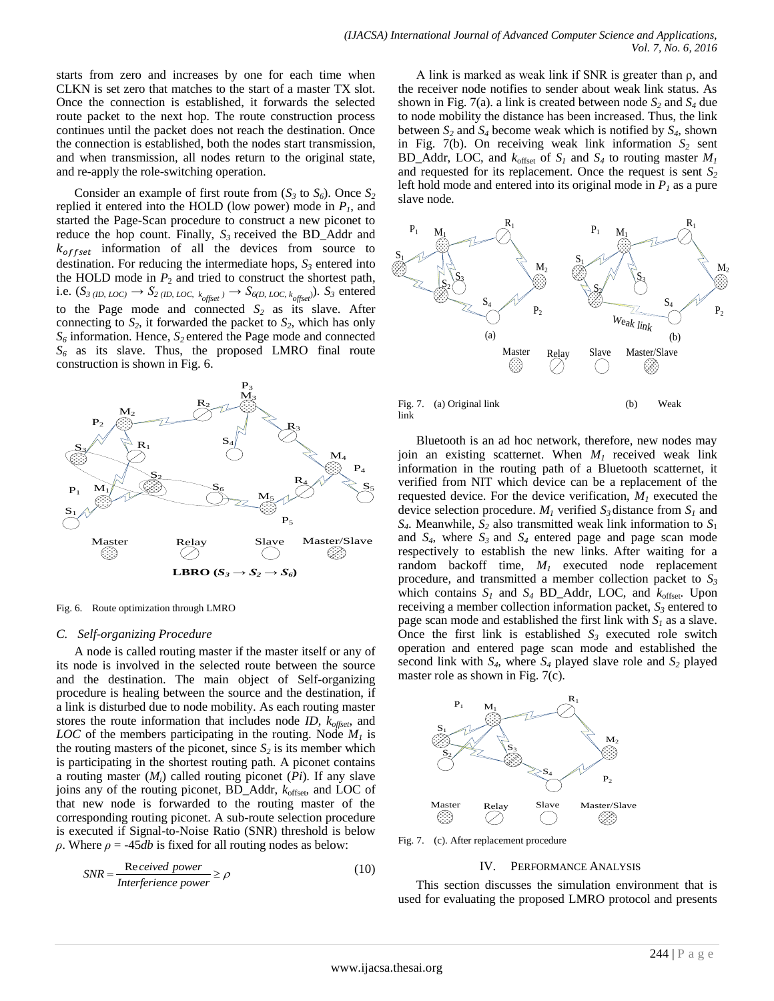starts from zero and increases by one for each time when CLKN is set zero that matches to the start of a master TX slot. Once the connection is established, it forwards the selected route packet to the next hop. The route construction process continues until the packet does not reach the destination. Once the connection is established, both the nodes start transmission, and when transmission, all nodes return to the original state, and re-apply the role-switching operation.

Consider an example of first route from  $(S_3 \text{ to } S_6)$ . Once  $S_2$ replied it entered into the HOLD (low power) mode in *P1*, and started the Page-Scan procedure to construct a new piconet to reduce the hop count. Finally, *S<sup>3</sup>* received the BD\_Addr and  $k_{offset}$  information of all the devices from source to destination. For reducing the intermediate hops, *S<sup>3</sup>* entered into the HOLD mode in  $P_2$  and tried to construct the shortest path, i.e.  $(S_{3 (ID, LOC)} \rightarrow S_{2 (ID, LOC, k_{offset})} \rightarrow S_{6(D, LOC, k_{offset})}$ *)*.  $S_3$  entered to the Page mode and connected  $S_2$  as its slave. After connecting to  $S_2$ , it forwarded the packet to  $S_2$ , which has only *S<sup>6</sup>* information. Hence, *S2* entered the Page mode and connected *S<sup>6</sup>* as its slave. Thus, the proposed LMRO final route construction is shown in Fig. 6.



Fig. 6. Route optimization through LMRO

#### *C. Self-organizing Procedure*

A node is called routing master if the master itself or any of its node is involved in the selected route between the source and the destination. The main object of Self-organizing procedure is healing between the source and the destination, if a link is disturbed due to node mobility. As each routing master stores the route information that includes node *ID, koffset*, and *LOC* of the members participating in the routing. Node *M<sup>1</sup>* is the routing masters of the piconet, since  $S_2$  is its member which is participating in the shortest routing path. A piconet contains a routing master (*Mi*) called routing piconet (*Pi*). If any slave joins any of the routing piconet, BD\_Addr, *k*offset, and LOC of that new node is forwarded to the routing master of the corresponding routing piconet. A sub-route selection procedure is executed if Signal-to-Noise Ratio (SNR) threshold is below *ρ*. Where *ρ* = -45*db* is fixed for all routing nodes as below:

$$
SNR = \frac{\text{Re} \text{eeive}d \text{ power}}{\text{Interference power}} \ge \rho \tag{10}
$$

A link is marked as weak link if SNR is greater than  $\rho$ , and the receiver node notifies to sender about weak link status. As shown in Fig. 7(a). a link is created between node *S<sup>2</sup>* and *S<sup>4</sup>* due to node mobility the distance has been increased. Thus, the link between  $S_2$  and  $S_4$  become weak which is notified by  $S_4$ , shown in Fig. 7(b). On receiving weak link information  $S_2$  sent BD\_Addr, LOC, and  $k_{offset}$  of  $S_I$  and  $S_4$  to routing master  $M_I$ and requested for its replacement. Once the request is sent *S<sup>2</sup>* left hold mode and entered into its original mode in  $P<sub>l</sub>$  as a pure slave node.



Fig. 7. (a) Original link (b) Weak link

Bluetooth is an ad hoc network, therefore, new nodes may join an existing scatternet. When *M<sup>1</sup>* received weak link information in the routing path of a Bluetooth scatternet, it verified from NIT which device can be a replacement of the requested device. For the device verification,  $M<sub>1</sub>$  executed the device selection procedure.  $M<sub>1</sub>$  verified  $S<sub>3</sub>$  distance from  $S<sub>1</sub>$  and  $S_4$ . Meanwhile,  $S_2$  also transmitted weak link information to  $S_1$ and *S4*, where *S<sup>3</sup>* and *S<sup>4</sup>* entered page and page scan mode respectively to establish the new links. After waiting for a random backoff time, *M<sup>1</sup>* executed node replacement procedure, and transmitted a member collection packet to  $S_3$ which contains  $S_I$  and  $S_4$  BD\_Addr, LOC, and  $k_{offset}$ . Upon receiving a member collection information packet, *S<sup>3</sup>* entered to page scan mode and established the first link with  $S_I$  as a slave. Once the first link is established  $S_3$  executed role switch operation and entered page scan mode and established the second link with  $S_4$ , where  $S_4$  played slave role and  $S_2$  played master role as shown in Fig. 7(c).



Fig. 7. (c). After replacement procedure

#### IV. PERFORMANCE ANALYSIS

This section discusses the simulation environment that is used for evaluating the proposed LMRO protocol and presents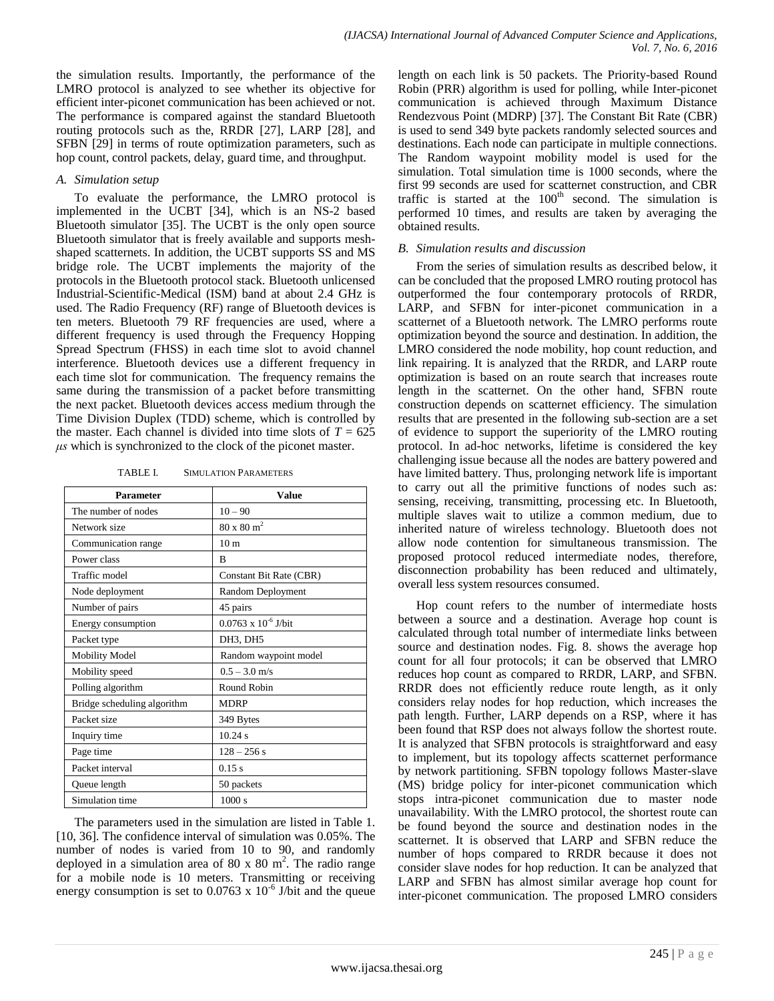the simulation results. Importantly, the performance of the LMRO protocol is analyzed to see whether its objective for efficient inter-piconet communication has been achieved or not. The performance is compared against the standard Bluetooth routing protocols such as the, RRDR [27], LARP [28], and SFBN [29] in terms of route optimization parameters, such as hop count, control packets, delay, guard time, and throughput.

#### *A. Simulation setup*

To evaluate the performance, the LMRO protocol is implemented in the UCBT [34], which is an NS-2 based Bluetooth simulator [35]. The UCBT is the only open source Bluetooth simulator that is freely available and supports meshshaped scatternets. In addition, the UCBT supports SS and MS bridge role. The UCBT implements the majority of the protocols in the Bluetooth protocol stack. Bluetooth unlicensed Industrial-Scientific-Medical (ISM) band at about 2.4 GHz is used. The Radio Frequency (RF) range of Bluetooth devices is ten meters. Bluetooth 79 RF frequencies are used, where a different frequency is used through the Frequency Hopping Spread Spectrum (FHSS) in each time slot to avoid channel interference. Bluetooth devices use a different frequency in each time slot for communication. The frequency remains the same during the transmission of a packet before transmitting the next packet. Bluetooth devices access medium through the Time Division Duplex (TDD) scheme, which is controlled by the master. Each channel is divided into time slots of  $T = 625$ *μs* which is synchronized to the clock of the piconet master.

TABLE I. SIMULATION PARAMETERS

| <b>Parameter</b>            | Value                         |  |
|-----------------------------|-------------------------------|--|
| The number of nodes         | $10 - 90$                     |  |
| Network size                | $80 \times 80$ m <sup>2</sup> |  |
| Communication range         | 10 <sub>m</sub>               |  |
| Power class                 | R                             |  |
| Traffic model               | Constant Bit Rate (CBR)       |  |
| Node deployment             | Random Deployment             |  |
| Number of pairs             | 45 pairs                      |  |
| Energy consumption          | $0.0763 \times 10^{-6}$ J/bit |  |
| Packet type                 | DH3, DH5                      |  |
| <b>Mobility Model</b>       | Random waypoint model         |  |
| Mobility speed              | $0.5 - 3.0$ m/s               |  |
| Polling algorithm           | Round Robin                   |  |
| Bridge scheduling algorithm | <b>MDRP</b>                   |  |
| Packet size                 | 349 Bytes                     |  |
| Inquiry time                | 10.24 s                       |  |
| Page time                   | $128 - 256$ s                 |  |
| Packet interval             | 0.15 s                        |  |
| Queue length                | 50 packets                    |  |
| Simulation time             | 1000 s                        |  |

The parameters used in the simulation are listed in Table 1. [10, 36]. The confidence interval of simulation was 0.05%. The number of nodes is varied from 10 to 90, and randomly deployed in a simulation area of 80 x 80 m<sup>2</sup>. The radio range for a mobile node is 10 meters. Transmitting or receiving energy consumption is set to  $0.0763 \times 10^{-6}$  J/bit and the queue length on each link is 50 packets. The Priority-based Round Robin (PRR) algorithm is used for polling, while Inter-piconet communication is achieved through Maximum Distance Rendezvous Point (MDRP) [37]. The Constant Bit Rate (CBR) is used to send 349 byte packets randomly selected sources and destinations. Each node can participate in multiple connections. The Random waypoint mobility model is used for the simulation. Total simulation time is 1000 seconds, where the first 99 seconds are used for scatternet construction, and CBR traffic is started at the  $100<sup>th</sup>$  second. The simulation is performed 10 times, and results are taken by averaging the obtained results.

## *B. Simulation results and discussion*

From the series of simulation results as described below, it can be concluded that the proposed LMRO routing protocol has outperformed the four contemporary protocols of RRDR, LARP, and SFBN for inter-piconet communication in a scatternet of a Bluetooth network. The LMRO performs route optimization beyond the source and destination. In addition, the LMRO considered the node mobility, hop count reduction, and link repairing. It is analyzed that the RRDR, and LARP route optimization is based on an route search that increases route length in the scatternet. On the other hand, SFBN route construction depends on scatternet efficiency. The simulation results that are presented in the following sub-section are a set of evidence to support the superiority of the LMRO routing protocol. In ad-hoc networks, lifetime is considered the key challenging issue because all the nodes are battery powered and have limited battery. Thus, prolonging network life is important to carry out all the primitive functions of nodes such as: sensing, receiving, transmitting, processing etc. In Bluetooth, multiple slaves wait to utilize a common medium, due to inherited nature of wireless technology. Bluetooth does not allow node contention for simultaneous transmission. The proposed protocol reduced intermediate nodes, therefore, disconnection probability has been reduced and ultimately, overall less system resources consumed.

Hop count refers to the number of intermediate hosts between a source and a destination. Average hop count is calculated through total number of intermediate links between source and destination nodes. Fig. 8. shows the average hop count for all four protocols; it can be observed that LMRO reduces hop count as compared to RRDR, LARP, and SFBN. RRDR does not efficiently reduce route length, as it only considers relay nodes for hop reduction, which increases the path length. Further, LARP depends on a RSP, where it has been found that RSP does not always follow the shortest route. It is analyzed that SFBN protocols is straightforward and easy to implement, but its topology affects scatternet performance by network partitioning. SFBN topology follows Master-slave (MS) bridge policy for inter-piconet communication which stops intra-piconet communication due to master node unavailability. With the LMRO protocol, the shortest route can be found beyond the source and destination nodes in the scatternet. It is observed that LARP and SFBN reduce the number of hops compared to RRDR because it does not consider slave nodes for hop reduction. It can be analyzed that LARP and SFBN has almost similar average hop count for inter-piconet communication. The proposed LMRO considers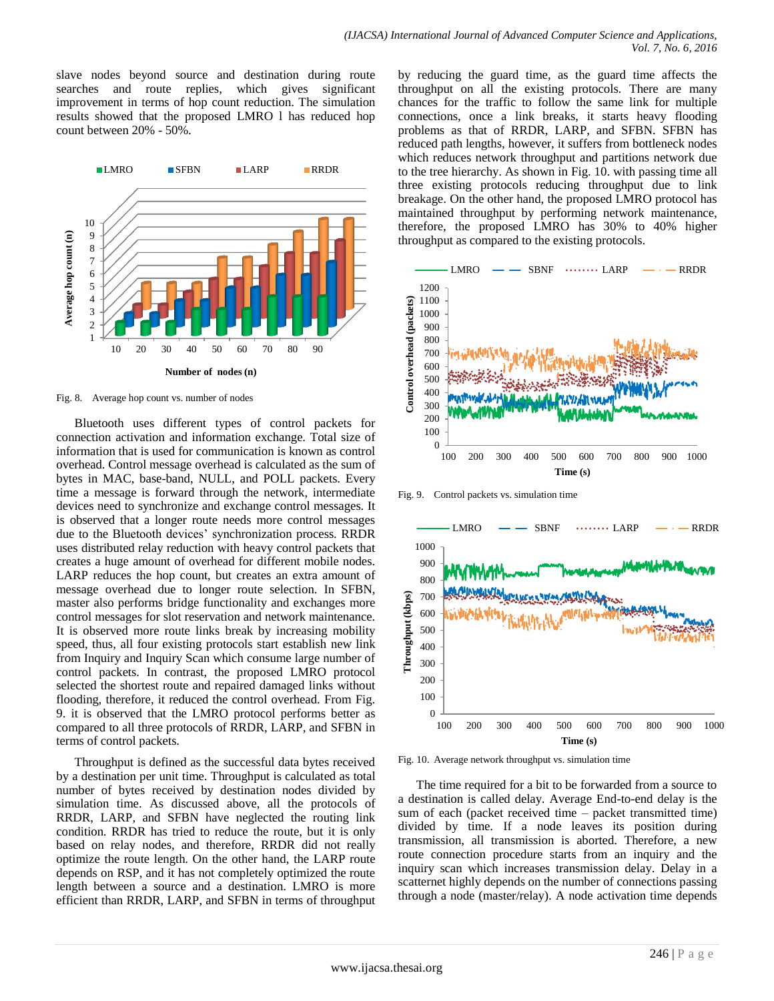slave nodes beyond source and destination during route searches and route replies, which gives significant improvement in terms of hop count reduction. The simulation results showed that the proposed LMRO l has reduced hop count between 20% - 50%.



Fig. 8. Average hop count vs. number of nodes

Bluetooth uses different types of control packets for connection activation and information exchange. Total size of information that is used for communication is known as control overhead. Control message overhead is calculated as the sum of bytes in MAC, base-band, NULL, and POLL packets. Every time a message is forward through the network, intermediate devices need to synchronize and exchange control messages. It is observed that a longer route needs more control messages due to the Bluetooth devices' synchronization process. RRDR uses distributed relay reduction with heavy control packets that creates a huge amount of overhead for different mobile nodes. LARP reduces the hop count, but creates an extra amount of message overhead due to longer route selection. In SFBN, master also performs bridge functionality and exchanges more control messages for slot reservation and network maintenance. It is observed more route links break by increasing mobility speed, thus, all four existing protocols start establish new link from Inquiry and Inquiry Scan which consume large number of control packets. In contrast, the proposed LMRO protocol selected the shortest route and repaired damaged links without flooding, therefore, it reduced the control overhead. From Fig. 9. it is observed that the LMRO protocol performs better as compared to all three protocols of RRDR, LARP, and SFBN in terms of control packets.

Throughput is defined as the successful data bytes received by a destination per unit time. Throughput is calculated as total number of bytes received by destination nodes divided by simulation time. As discussed above, all the protocols of RRDR, LARP, and SFBN have neglected the routing link condition. RRDR has tried to reduce the route, but it is only based on relay nodes, and therefore, RRDR did not really optimize the route length. On the other hand, the LARP route depends on RSP, and it has not completely optimized the route length between a source and a destination. LMRO is more efficient than RRDR, LARP, and SFBN in terms of throughput

by reducing the guard time, as the guard time affects the throughput on all the existing protocols. There are many chances for the traffic to follow the same link for multiple connections, once a link breaks, it starts heavy flooding problems as that of RRDR, LARP, and SFBN. SFBN has reduced path lengths, however, it suffers from bottleneck nodes which reduces network throughput and partitions network due to the tree hierarchy. As shown in Fig. 10. with passing time all three existing protocols reducing throughput due to link breakage. On the other hand, the proposed LMRO protocol has maintained throughput by performing network maintenance, therefore, the proposed LMRO has 30% to 40% higher throughput as compared to the existing protocols.



Fig. 9. Control packets vs. simulation time



Fig. 10. Average network throughput vs. simulation time

The time required for a bit to be forwarded from a source to a destination is called delay. Average End-to-end delay is the sum of each (packet received time – packet transmitted time) divided by time. If a node leaves its position during transmission, all transmission is aborted. Therefore, a new route connection procedure starts from an inquiry and the inquiry scan which increases transmission delay. Delay in a scatternet highly depends on the number of connections passing through a node (master/relay). A node activation time depends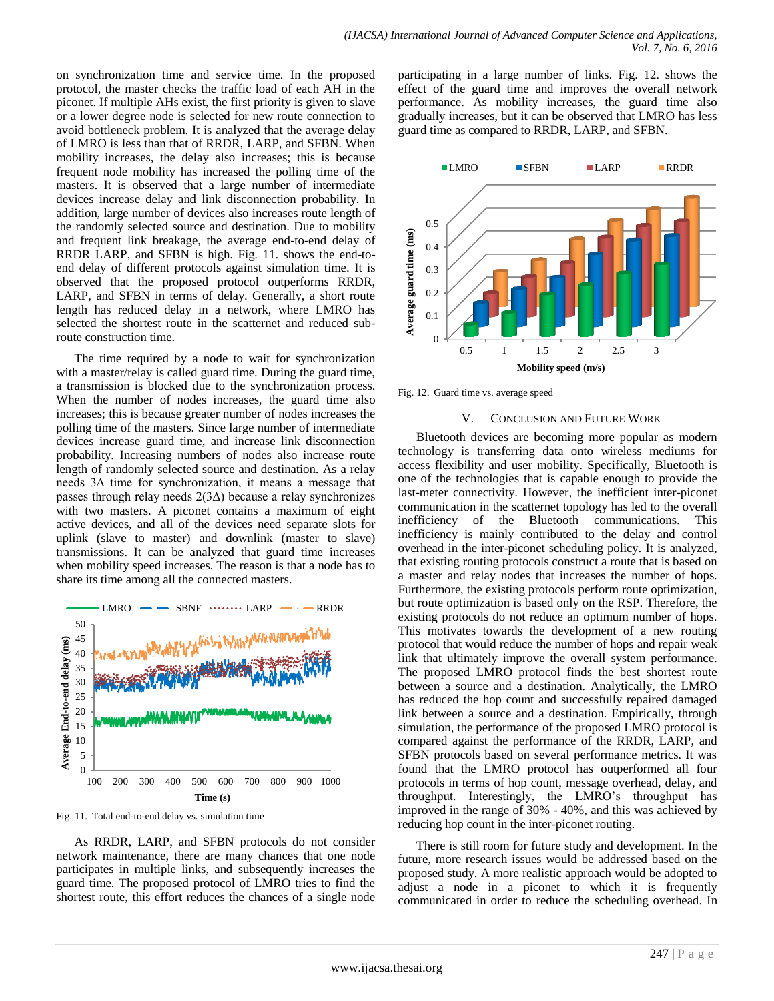on synchronization time and service time. In the proposed protocol, the master checks the traffic load of each AH in the piconet. If multiple AHs exist, the first priority is given to slave or a lower degree node is selected for new route connection to avoid bottleneck problem. It is analyzed that the average delay of LMRO is less than that of RRDR, LARP, and SFBN. When mobility increases, the delay also increases; this is because frequent node mobility has increased the polling time of the masters. It is observed that a large number of intermediate devices increase delay and link disconnection probability. In addition, large number of devices also increases route length of the randomly selected source and destination. Due to mobility and frequent link breakage, the average end-to-end delay of RRDR LARP, and SFBN is high. Fig. 11. shows the end-toend delay of different protocols against simulation time. It is observed that the proposed protocol outperforms RRDR, LARP, and SFBN in terms of delay. Generally, a short route length has reduced delay in a network, where LMRO has selected the shortest route in the scatternet and reduced subroute construction time.

The time required by a node to wait for synchronization with a master/relay is called guard time. During the guard time, a transmission is blocked due to the synchronization process. When the number of nodes increases, the guard time also increases; this is because greater number of nodes increases the polling time of the masters. Since large number of intermediate devices increase guard time, and increase link disconnection probability. Increasing numbers of nodes also increase route length of randomly selected source and destination. As a relay needs 3∆ time for synchronization, it means a message that passes through relay needs 2(3∆) because a relay synchronizes with two masters. A piconet contains a maximum of eight active devices, and all of the devices need separate slots for uplink (slave to master) and downlink (master to slave) transmissions. It can be analyzed that guard time increases when mobility speed increases. The reason is that a node has to share its time among all the connected masters.



Fig. 11. Total end-to-end delay vs. simulation time

As RRDR, LARP, and SFBN protocols do not consider network maintenance, there are many chances that one node participates in multiple links, and subsequently increases the guard time. The proposed protocol of LMRO tries to find the shortest route, this effort reduces the chances of a single node

participating in a large number of links. Fig. 12. shows the effect of the guard time and improves the overall network performance. As mobility increases, the guard time also gradually increases, but it can be observed that LMRO has less guard time as compared to RRDR, LARP, and SFBN.



Fig. 12. Guard time vs. average speed

#### V. CONCLUSION AND FUTURE WORK

Bluetooth devices are becoming more popular as modern technology is transferring data onto wireless mediums for access flexibility and user mobility. Specifically, Bluetooth is one of the technologies that is capable enough to provide the last-meter connectivity. However, the inefficient inter-piconet communication in the scatternet topology has led to the overall inefficiency of the Bluetooth communications. This inefficiency is mainly contributed to the delay and control overhead in the inter-piconet scheduling policy. It is analyzed, that existing routing protocols construct a route that is based on a master and relay nodes that increases the number of hops. Furthermore, the existing protocols perform route optimization, but route optimization is based only on the RSP. Therefore, the existing protocols do not reduce an optimum number of hops. This motivates towards the development of a new routing protocol that would reduce the number of hops and repair weak link that ultimately improve the overall system performance. The proposed LMRO protocol finds the best shortest route between a source and a destination. Analytically, the LMRO has reduced the hop count and successfully repaired damaged link between a source and a destination. Empirically, through simulation, the performance of the proposed LMRO protocol is compared against the performance of the RRDR, LARP, and SFBN protocols based on several performance metrics. It was found that the LMRO protocol has outperformed all four protocols in terms of hop count, message overhead, delay, and throughput. Interestingly, the LMRO's throughput has improved in the range of 30% - 40%, and this was achieved by reducing hop count in the inter-piconet routing.

There is still room for future study and development. In the future, more research issues would be addressed based on the proposed study. A more realistic approach would be adopted to adjust a node in a piconet to which it is frequently communicated in order to reduce the scheduling overhead. In